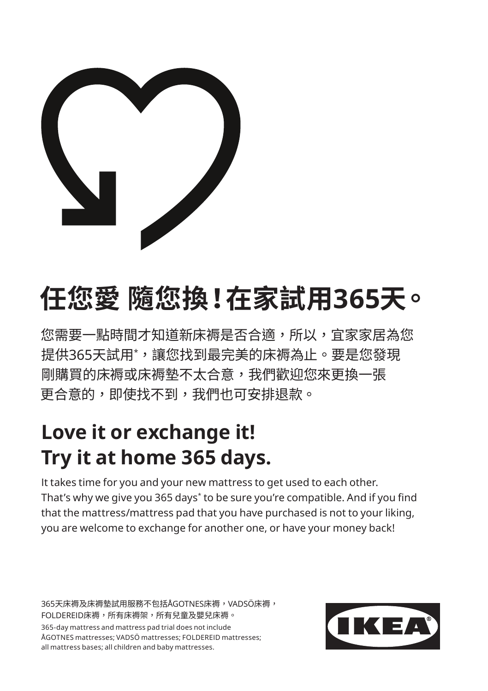

## **任您愛 隨您換!在家試用365天。**

您需要一點時間才知道新床褥是否合適,所以,宜家家居為您 提供365大試用<sup>\*</sup>,讓您找到最完美的床褥為止。要是您發<mark>現</mark> 剛購買的床褥或床褥墊不太合意,我們歡迎您來更換一張 更合意的,即使找不到,我們也可安排退款。

## **Love it or exchange it! Try it at home 365 days.**

It takes time for you and your new mattress to get used to each other. That's why we give you 365 days\* to be sure you're compatible. And if you find that the mattress/mattress pad that you have purchased is not to your liking, you are welcome to exchange for another one, or have your money back!

365天床褥及床褥墊試用服務不包括ÅGOTNES床褥,VADSÖ床褥, FOLDEREID床褥,所有床褥架,所有兒童及嬰兒床褥。 365-day mattress and mattress pad trial does not include ÅGOTNES mattresses; VADSÖ mattresses; FOLDEREID mattresses; all mattress bases; all children and baby mattresses.